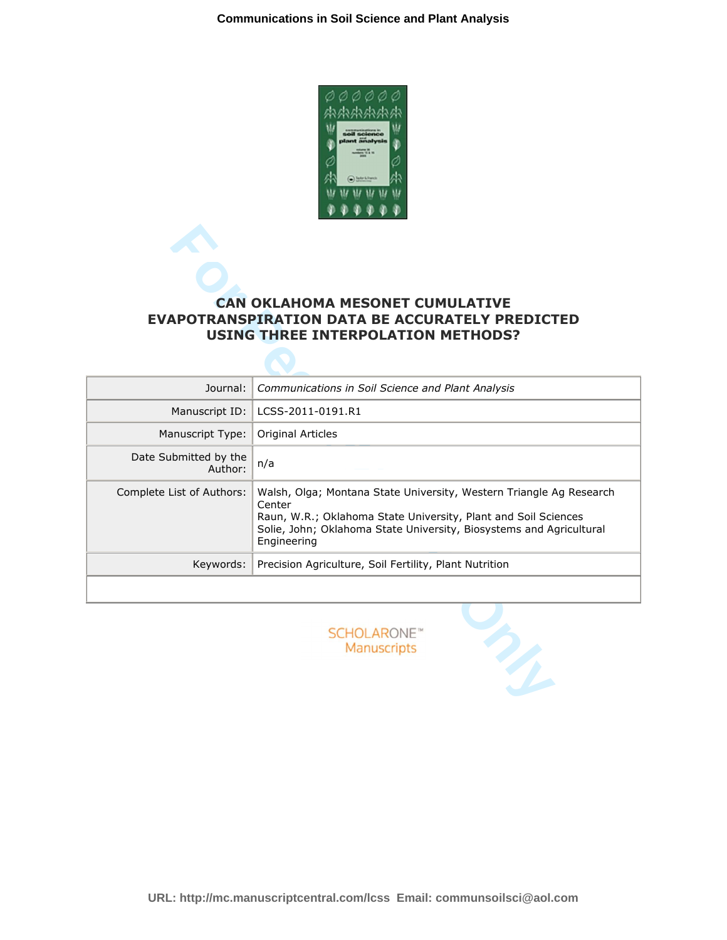

# **EVAPOTRANSPIRATION DATA BE ACCURATELY PREDICTED USING THREE INTERPOLATION METHODS?**

|                                  | <b>CAN OKLAHOMA MESONET CUMULATIVE</b><br><b>EVAPOTRANSPIRATION DATA BE ACCURATELY PREDICTED</b><br><b>USING THREE INTERPOLATION METHODS?</b>                                                                                         |  |  |
|----------------------------------|---------------------------------------------------------------------------------------------------------------------------------------------------------------------------------------------------------------------------------------|--|--|
| Journal:                         | Communications in Soil Science and Plant Analysis                                                                                                                                                                                     |  |  |
| Manuscript ID:                   | LCSS-2011-0191.R1                                                                                                                                                                                                                     |  |  |
| Manuscript Type:                 | Original Articles                                                                                                                                                                                                                     |  |  |
| Date Submitted by the<br>Author: | n/a                                                                                                                                                                                                                                   |  |  |
| Complete List of Authors:        | Walsh, Olga; Montana State University, Western Triangle Ag Research<br>Center<br>Raun, W.R.; Oklahoma State University, Plant and Soil Sciences<br>Solie, John; Oklahoma State University, Biosystems and Agricultural<br>Engineering |  |  |
| Keywords:                        | Precision Agriculture, Soil Fertility, Plant Nutrition                                                                                                                                                                                |  |  |
|                                  |                                                                                                                                                                                                                                       |  |  |
|                                  | SCHOLARONE <sup>*</sup><br>Manuscripts                                                                                                                                                                                                |  |  |

**URL: http://mc.manuscriptcentral.com/lcss Email: communsoilsci@aol.com**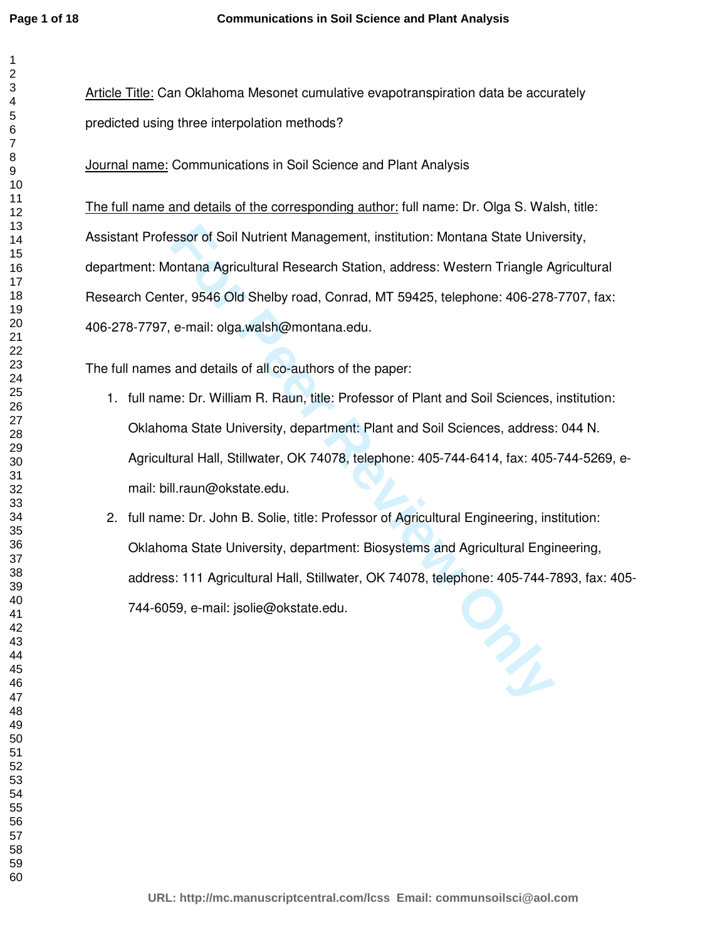Article Title: Can Oklahoma Mesonet cumulative evapotranspiration data be accurately predicted using three interpolation methods?

Journal name: Communications in Soil Science and Plant Analysis

**Formal Addition:** Management, institution: Montana State Univertiana Agricultural Research Station, address: Western Triangle A<br>
Formal: olga.walsh@montana.edu.<br>
and details of all co-authors of the paper:<br>
and details of The full name and details of the corresponding author: full name: Dr. Olga S. Walsh, title: Assistant Professor of Soil Nutrient Management, institution: Montana State University, department: Montana Agricultural Research Station, address: Western Triangle Agricultural Research Center, 9546 Old Shelby road, Conrad, MT 59425, telephone: 406-278-7707, fax: 406-278-7797, e-mail: olga.walsh@montana.edu.

The full names and details of all co-authors of the paper:

- 1. full name: Dr. William R. Raun, title: Professor of Plant and Soil Sciences, institution: Oklahoma State University, department: Plant and Soil Sciences, address: 044 N. Agricultural Hall, Stillwater, OK 74078, telephone: 405-744-6414, fax: 405-744-5269, email: bill.raun@okstate.edu.
- 2. full name: Dr. John B. Solie, title: Professor of Agricultural Engineering, institution: Oklahoma State University, department: Biosystems and Agricultural Engineering, address: 111 Agricultural Hall, Stillwater, OK 74078, telephone: 405-744-7893, fax: 405- 744-6059, e-mail: jsolie@okstate.edu.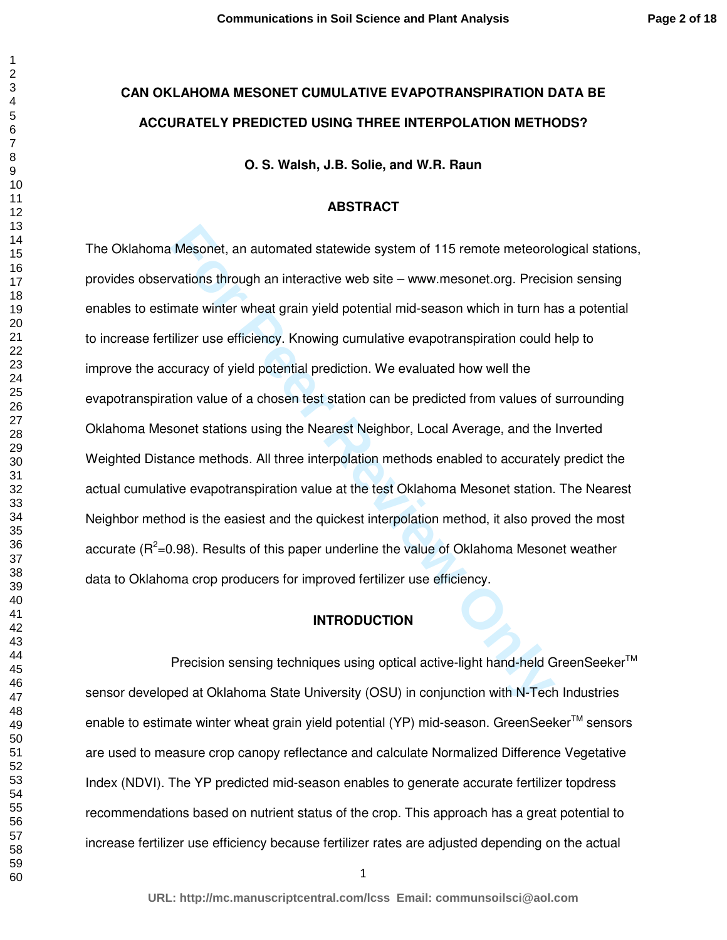## **CAN OKLAHOMA MESONET CUMULATIVE EVAPOTRANSPIRATION DATA BE ACCURATELY PREDICTED USING THREE INTERPOLATION METHODS?**

**O. S. Walsh, J.B. Solie, and W.R. Raun** 

#### **ABSTRACT**

Mesonet, an automated statewide system of 115 remote meteorol<br>
vations through an interactive web site – www.mesonet.org. Precis<br>
mate winter wheat grain yield potential mid-season which in turn ha<br>
ilizer use efficiency. The Oklahoma Mesonet, an automated statewide system of 115 remote meteorological stations, provides observations through an interactive web site – www.mesonet.org. Precision sensing enables to estimate winter wheat grain yield potential mid-season which in turn has a potential to increase fertilizer use efficiency. Knowing cumulative evapotranspiration could help to improve the accuracy of yield potential prediction. We evaluated how well the evapotranspiration value of a chosen test station can be predicted from values of surrounding Oklahoma Mesonet stations using the Nearest Neighbor, Local Average, and the Inverted Weighted Distance methods. All three interpolation methods enabled to accurately predict the actual cumulative evapotranspiration value at the test Oklahoma Mesonet station. The Nearest Neighbor method is the easiest and the quickest interpolation method, it also proved the most accurate ( $R^2$ =0.98). Results of this paper underline the value of Oklahoma Mesonet weather data to Oklahoma crop producers for improved fertilizer use efficiency.

#### **INTRODUCTION**

Precision sensing techniques using optical active-light hand-held GreenSeeker<sup>™</sup> sensor developed at Oklahoma State University (OSU) in conjunction with N-Tech Industries enable to estimate winter wheat grain yield potential (YP) mid-season. GreenSeeker<sup>TM</sup> sensors are used to measure crop canopy reflectance and calculate Normalized Difference Vegetative Index (NDVI). The YP predicted mid-season enables to generate accurate fertilizer topdress recommendations based on nutrient status of the crop. This approach has a great potential to increase fertilizer use efficiency because fertilizer rates are adjusted depending on the actual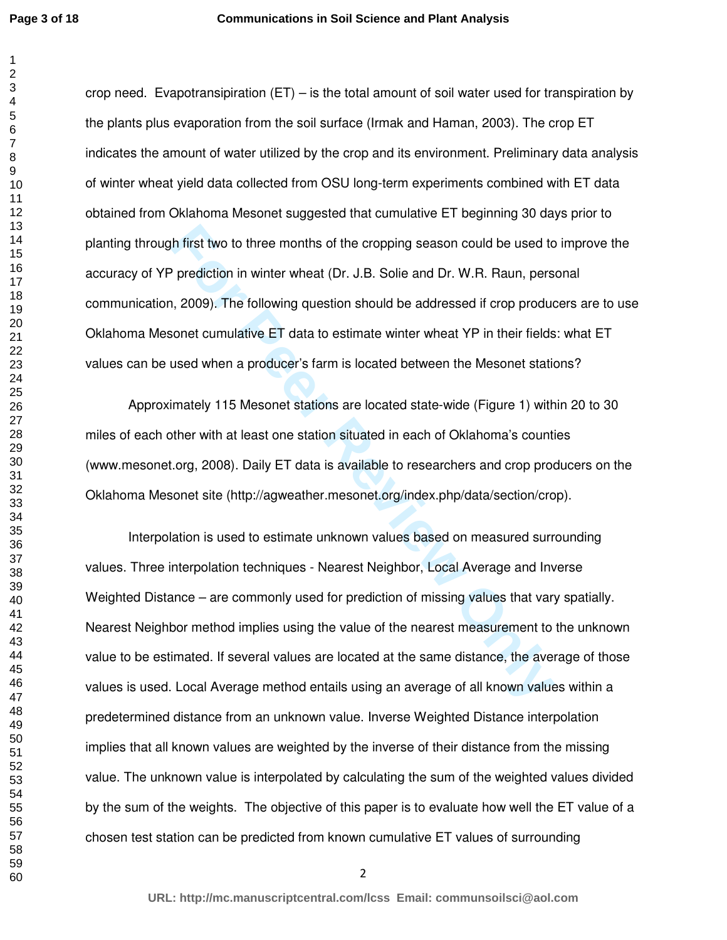crop need. Evapotransipiration (ET) – is the total amount of soil water used for transpiration by the plants plus evaporation from the soil surface (Irmak and Haman, 2003). The crop ET indicates the amount of water utilized by the crop and its environment. Preliminary data analysis of winter wheat yield data collected from OSU long-term experiments combined with ET data obtained from Oklahoma Mesonet suggested that cumulative ET beginning 30 days prior to planting through first two to three months of the cropping season could be used to improve the accuracy of YP prediction in winter wheat (Dr. J.B. Solie and Dr. W.R. Raun, personal communication, 2009). The following question should be addressed if crop producers are to use Oklahoma Mesonet cumulative ET data to estimate winter wheat YP in their fields: what ET values can be used when a producer's farm is located between the Mesonet stations?

Approximately 115 Mesonet stations are located state-wide (Figure 1) within 20 to 30 miles of each other with at least one station situated in each of Oklahoma's counties (www.mesonet.org, 2008). Daily ET data is available to researchers and crop producers on the Oklahoma Mesonet site (http://agweather.mesonet.org/index.php/data/section/crop).

th first two to three months of the cropping season could be used to<br>
P prediction in winter wheat (Dr. J.B. Solie and Dr. W.R. Raun, pers<br>
1, 2009). The following question should be addressed if crop production<br>
solvent c Interpolation is used to estimate unknown values based on measured surrounding values. Three interpolation techniques - Nearest Neighbor, Local Average and Inverse Weighted Distance – are commonly used for prediction of missing values that vary spatially. Nearest Neighbor method implies using the value of the nearest measurement to the unknown value to be estimated. If several values are located at the same distance, the average of those values is used. Local Average method entails using an average of all known values within a predetermined distance from an unknown value. Inverse Weighted Distance interpolation implies that all known values are weighted by the inverse of their distance from the missing value. The unknown value is interpolated by calculating the sum of the weighted values divided by the sum of the weights. The objective of this paper is to evaluate how well the ET value of a chosen test station can be predicted from known cumulative ET values of surrounding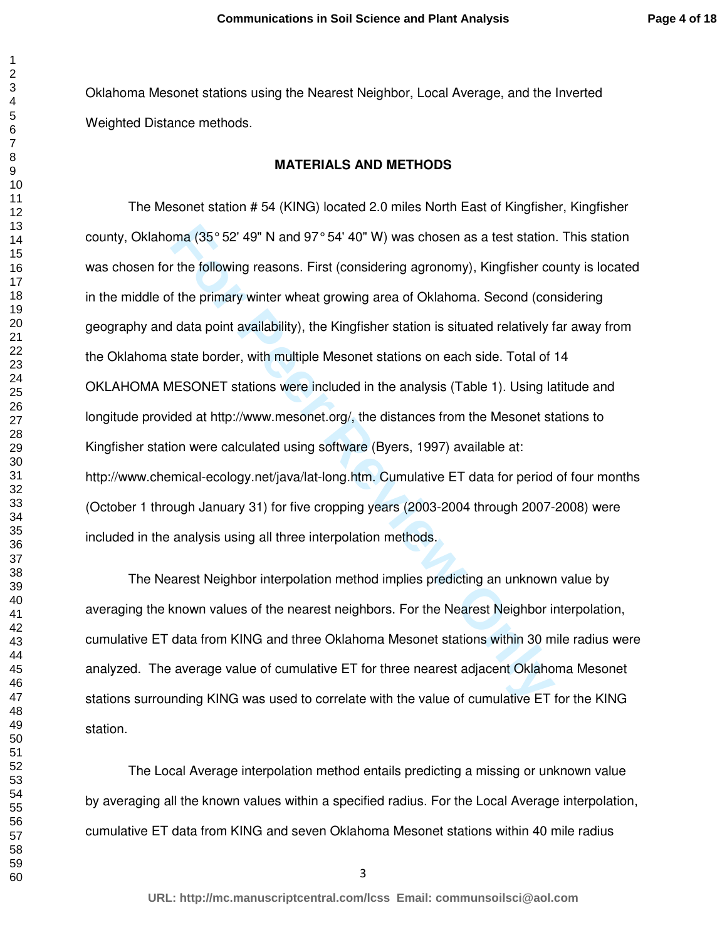Oklahoma Mesonet stations using the Nearest Neighbor, Local Average, and the Inverted Weighted Distance methods.

#### **MATERIALS AND METHODS**

oma (35° 52' 49" N and 97° 54' 40" W) was chosen as a test station<br>the following reasons. First (considering agronomy), Kingfisher co<br>f the primary winter wheat growing area of Oklahoma. Second (con<br>d data point availabili The Mesonet station # 54 (KING) located 2.0 miles North East of Kingfisher, Kingfisher county, Oklahoma (35° 52' 49" N and 97° 54' 40" W) was chosen as a test station. This station was chosen for the following reasons. First (considering agronomy), Kingfisher county is located in the middle of the primary winter wheat growing area of Oklahoma. Second (considering geography and data point availability), the Kingfisher station is situated relatively far away from the Oklahoma state border, with multiple Mesonet stations on each side. Total of 14 OKLAHOMA MESONET stations were included in the analysis (Table 1). Using latitude and longitude provided at http://www.mesonet.org/, the distances from the Mesonet stations to Kingfisher station were calculated using software (Byers, 1997) available at: http://www.chemical-ecology.net/java/lat-long.htm. Cumulative ET data for period of four months (October 1 through January 31) for five cropping years (2003-2004 through 2007-2008) were included in the analysis using all three interpolation methods.

The Nearest Neighbor interpolation method implies predicting an unknown value by averaging the known values of the nearest neighbors. For the Nearest Neighbor interpolation, cumulative ET data from KING and three Oklahoma Mesonet stations within 30 mile radius were analyzed. The average value of cumulative ET for three nearest adjacent Oklahoma Mesonet stations surrounding KING was used to correlate with the value of cumulative ET for the KING station.

 The Local Average interpolation method entails predicting a missing or unknown value by averaging all the known values within a specified radius. For the Local Average interpolation, cumulative ET data from KING and seven Oklahoma Mesonet stations within 40 mile radius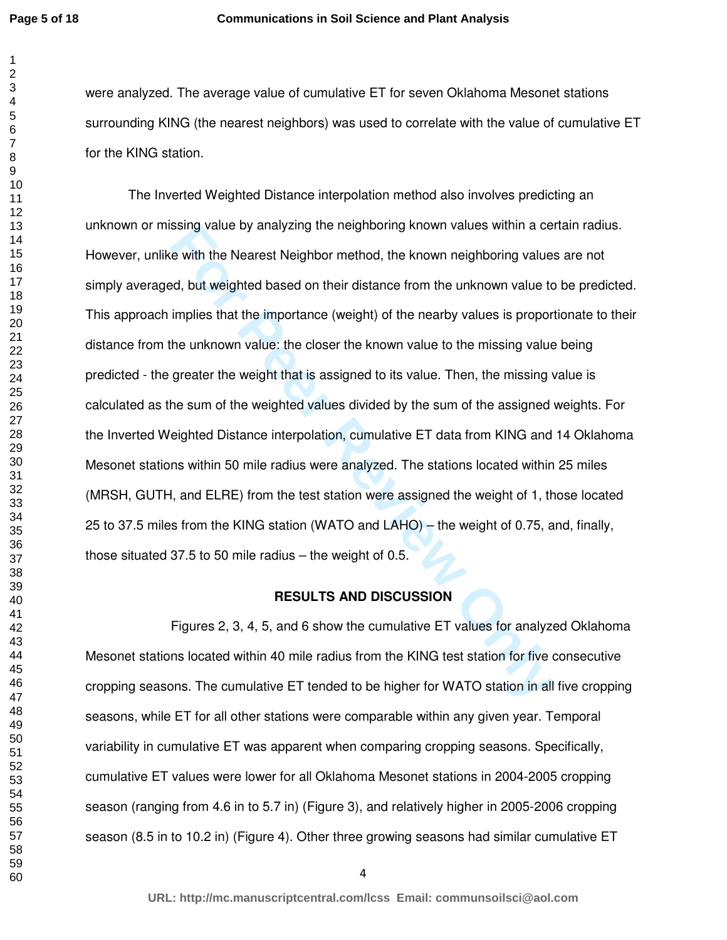were analyzed. The average value of cumulative ET for seven Oklahoma Mesonet stations surrounding KING (the nearest neighbors) was used to correlate with the value of cumulative ET for the KING station.

ssing value by analyzing the neignboring known values within a celevith the Nearest Neighbor method, the known neighboring values<br>ed, but weighted based on their distance from the unknown value to<br>implies that the importan The Inverted Weighted Distance interpolation method also involves predicting an unknown or missing value by analyzing the neighboring known values within a certain radius. However, unlike with the Nearest Neighbor method, the known neighboring values are not simply averaged, but weighted based on their distance from the unknown value to be predicted. This approach implies that the importance (weight) of the nearby values is proportionate to their distance from the unknown value: the closer the known value to the missing value being predicted - the greater the weight that is assigned to its value. Then, the missing value is calculated as the sum of the weighted values divided by the sum of the assigned weights. For the Inverted Weighted Distance interpolation, cumulative ET data from KING and 14 Oklahoma Mesonet stations within 50 mile radius were analyzed. The stations located within 25 miles (MRSH, GUTH, and ELRE) from the test station were assigned the weight of 1, those located 25 to 37.5 miles from the KING station (WATO and LAHO) – the weight of 0.75, and, finally, those situated 37.5 to 50 mile radius – the weight of 0.5.

#### **RESULTS AND DISCUSSION**

 Figures 2, 3, 4, 5, and 6 show the cumulative ET values for analyzed Oklahoma Mesonet stations located within 40 mile radius from the KING test station for five consecutive cropping seasons. The cumulative ET tended to be higher for WATO station in all five cropping seasons, while ET for all other stations were comparable within any given year. Temporal variability in cumulative ET was apparent when comparing cropping seasons. Specifically, cumulative ET values were lower for all Oklahoma Mesonet stations in 2004-2005 cropping season (ranging from 4.6 in to 5.7 in) (Figure 3), and relatively higher in 2005-2006 cropping season (8.5 in to 10.2 in) (Figure 4). Other three growing seasons had similar cumulative ET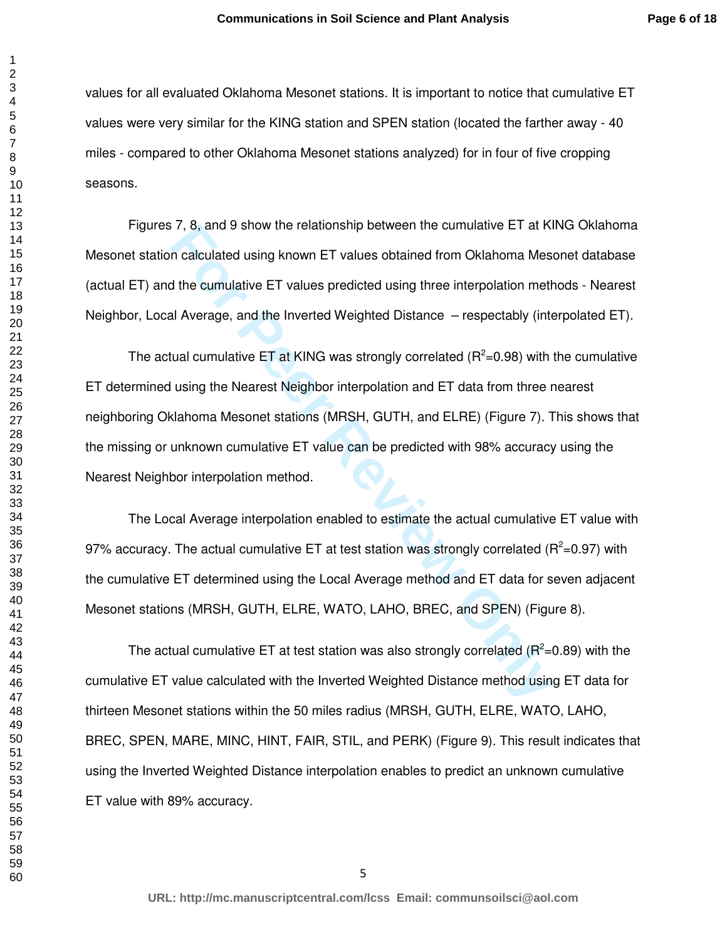values for all evaluated Oklahoma Mesonet stations. It is important to notice that cumulative ET values were very similar for the KING station and SPEN station (located the farther away - 40 miles - compared to other Oklahoma Mesonet stations analyzed) for in four of five cropping seasons.

Figures 7, 8, and 9 show the relationship between the cumulative ET at KING Oklahoma Mesonet station calculated using known ET values obtained from Oklahoma Mesonet database (actual ET) and the cumulative ET values predicted using three interpolation methods - Nearest Neighbor, Local Average, and the Inverted Weighted Distance – respectably (interpolated ET).

*F*, 8, and 9 show the relationship between the cumulative ET at N1<br>
n calculated using known ET values obtained from Oklahoma Mesc<br>
different cumulative ET values predicted using three interpolation meth<br>
all Average, an The actual cumulative ET at KING was strongly correlated ( $R^2$ =0.98) with the cumulative ET determined using the Nearest Neighbor interpolation and ET data from three nearest neighboring Oklahoma Mesonet stations (MRSH, GUTH, and ELRE) (Figure 7). This shows that the missing or unknown cumulative ET value can be predicted with 98% accuracy using the Nearest Neighbor interpolation method.

The Local Average interpolation enabled to estimate the actual cumulative ET value with 97% accuracy. The actual cumulative ET at test station was strongly correlated ( $R^2$ =0.97) with the cumulative ET determined using the Local Average method and ET data for seven adjacent Mesonet stations (MRSH, GUTH, ELRE, WATO, LAHO, BREC, and SPEN) (Figure 8).

The actual cumulative ET at test station was also strongly correlated ( $R^2$ =0.89) with the cumulative ET value calculated with the Inverted Weighted Distance method using ET data for thirteen Mesonet stations within the 50 miles radius (MRSH, GUTH, ELRE, WATO, LAHO, BREC, SPEN, MARE, MINC, HINT, FAIR, STIL, and PERK) (Figure 9). This result indicates that using the Inverted Weighted Distance interpolation enables to predict an unknown cumulative ET value with 89% accuracy.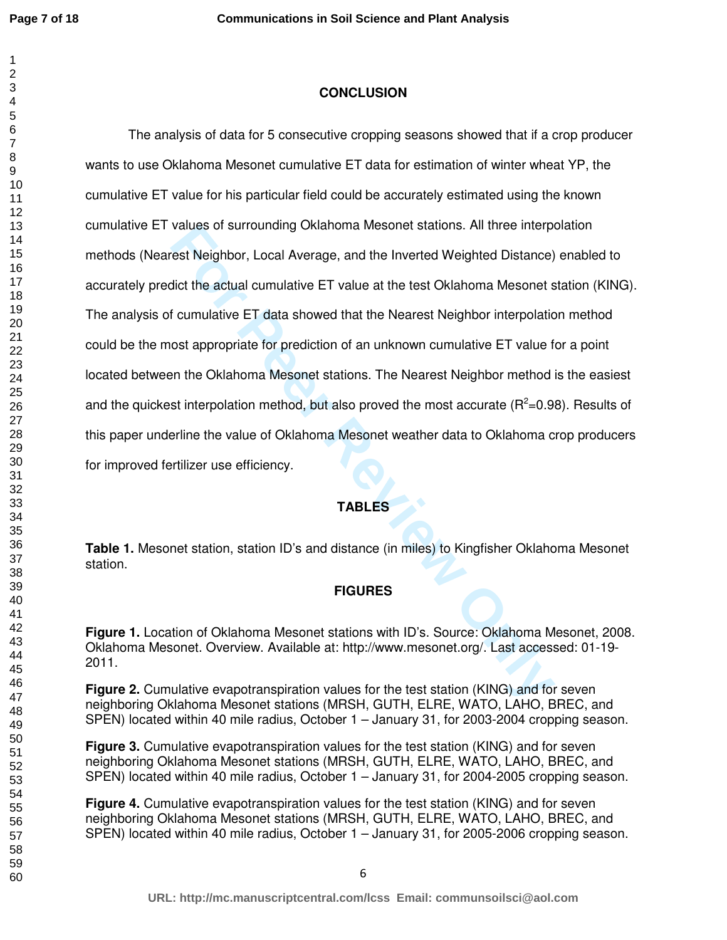## **CONCLUSION**

values or surrounding Okianoma Mesonet stations. All three interpret<br>
For Neighbor, Local Average, and the Inverted Weighted Distance)<br>
dict the actual cumulative ET value at the test Oklahoma Mesonet s<br>
f cumulative ET da The analysis of data for 5 consecutive cropping seasons showed that if a crop producer wants to use Oklahoma Mesonet cumulative ET data for estimation of winter wheat YP, the cumulative ET value for his particular field could be accurately estimated using the known cumulative ET values of surrounding Oklahoma Mesonet stations. All three interpolation methods (Nearest Neighbor, Local Average, and the Inverted Weighted Distance) enabled to accurately predict the actual cumulative ET value at the test Oklahoma Mesonet station (KING). The analysis of cumulative ET data showed that the Nearest Neighbor interpolation method could be the most appropriate for prediction of an unknown cumulative ET value for a point located between the Oklahoma Mesonet stations. The Nearest Neighbor method is the easiest and the quickest interpolation method, but also proved the most accurate ( $R^2$ =0.98). Results of this paper underline the value of Oklahoma Mesonet weather data to Oklahoma crop producers for improved fertilizer use efficiency.

## **TABLES**

**Table 1.** Mesonet station, station ID's and distance (in miles) to Kingfisher Oklahoma Mesonet station.

### **FIGURES**

**Figure 1.** Location of Oklahoma Mesonet stations with ID's. Source: Oklahoma Mesonet, 2008. Oklahoma Mesonet. Overview. Available at: http://www.mesonet.org/. Last accessed: 01-19- 2011.

**Figure 2.** Cumulative evapotranspiration values for the test station (KING) and for seven neighboring Oklahoma Mesonet stations (MRSH, GUTH, ELRE, WATO, LAHO, BREC, and SPEN) located within 40 mile radius, October 1 – January 31, for 2003-2004 cropping season.

**Figure 3.** Cumulative evapotranspiration values for the test station (KING) and for seven neighboring Oklahoma Mesonet stations (MRSH, GUTH, ELRE, WATO, LAHO, BREC, and SPEN) located within 40 mile radius, October 1 – January 31, for 2004-2005 cropping season.

**Figure 4.** Cumulative evapotranspiration values for the test station (KING) and for seven neighboring Oklahoma Mesonet stations (MRSH, GUTH, ELRE, WATO, LAHO, BREC, and SPEN) located within 40 mile radius, October 1 – January 31, for 2005-2006 cropping season.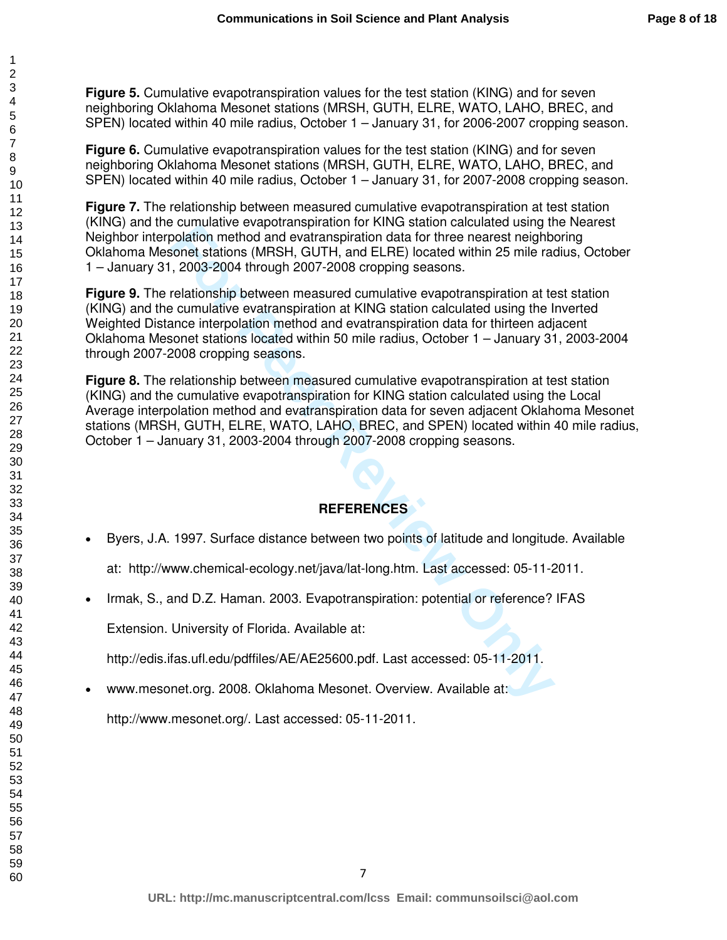**Figure 5.** Cumulative evapotranspiration values for the test station (KING) and for seven neighboring Oklahoma Mesonet stations (MRSH, GUTH, ELRE, WATO, LAHO, BREC, and SPEN) located within 40 mile radius, October 1 – January 31, for 2006-2007 cropping season.

**Figure 6.** Cumulative evapotranspiration values for the test station (KING) and for seven neighboring Oklahoma Mesonet stations (MRSH, GUTH, ELRE, WATO, LAHO, BREC, and SPEN) located within 40 mile radius, October 1 – January 31, for 2007-2008 cropping season.

**Figure 7.** The relationship between measured cumulative evapotranspiration at test station (KING) and the cumulative evapotranspiration for KING station calculated using the Nearest Neighbor interpolation method and evatranspiration data for three nearest neighboring Oklahoma Mesonet stations (MRSH, GUTH, and ELRE) located within 25 mile radius, October 1 – January 31, 2003-2004 through 2007-2008 cropping seasons.

For the matter exportancy incomparation of virtue a statom catcolated daring the cannot according method and evaluanspiration data for three nearest neighbored stations (MRSH, GUTH, and ELRE) located within 25 mile radio a **Figure 9.** The relationship between measured cumulative evapotranspiration at test station (KING) and the cumulative evatranspiration at KING station calculated using the Inverted Weighted Distance interpolation method and evatranspiration data for thirteen adjacent Oklahoma Mesonet stations located within 50 mile radius, October 1 – January 31, 2003-2004 through 2007-2008 cropping seasons.

**Figure 8.** The relationship between measured cumulative evapotranspiration at test station (KING) and the cumulative evapotranspiration for KING station calculated using the Local Average interpolation method and evatranspiration data for seven adjacent Oklahoma Mesonet stations (MRSH, GUTH, ELRE, WATO, LAHO, BREC, and SPEN) located within 40 mile radius, October 1 – January 31, 2003-2004 through 2007-2008 cropping seasons.

## **REFERENCES**

- Byers, J.A. 1997. Surface distance between two points of latitude and longitude. Available
	- at: http://www.chemical-ecology.net/java/lat-long.htm. Last accessed: 05-11-2011.
- Irmak, S., and D.Z. Haman. 2003. Evapotranspiration: potential or reference? IFAS

Extension. University of Florida. Available at:

http://edis.ifas.ufl.edu/pdffiles/AE/AE25600.pdf. Last accessed: 05-11-2011.

• www.mesonet.org. 2008. Oklahoma Mesonet. Overview. Available at:

http://www.mesonet.org/. Last accessed: 05-11-2011.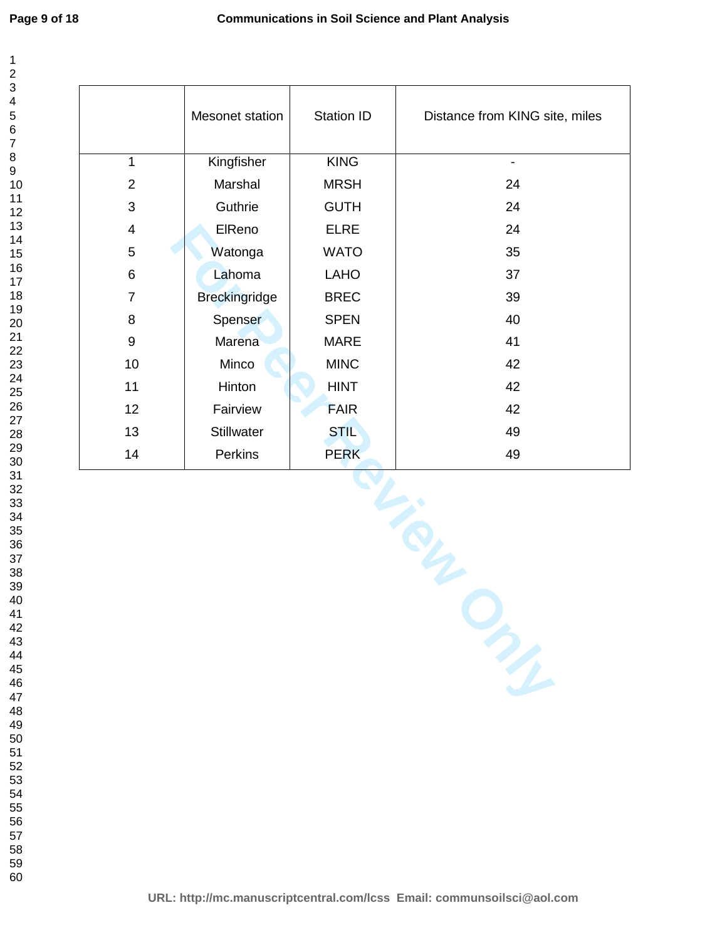|                          | Mesonet station      | Station ID  | Distance from KING site, miles |  |
|--------------------------|----------------------|-------------|--------------------------------|--|
| $\mathbf{1}$             | Kingfisher           | KING        | $\overline{\phantom{a}}$       |  |
| $\overline{2}$           | Marshal              | <b>MRSH</b> | 24                             |  |
| 3                        | Guthrie              | <b>GUTH</b> | 24                             |  |
| $\overline{\mathcal{A}}$ | ElReno               | <b>ELRE</b> | 24                             |  |
| $\sqrt{5}$               | Watonga              | <b>WATO</b> | 35                             |  |
| 6                        | Lahoma               | <b>LAHO</b> | 37                             |  |
| $\overline{7}$           | <b>Breckingridge</b> | <b>BREC</b> | 39                             |  |
| 8                        | Spenser              | <b>SPEN</b> | 40                             |  |
| $\boldsymbol{9}$         | Marena               | MARE        | 41                             |  |
| 10                       | Minco                | <b>MINC</b> | 42                             |  |
| 11                       | Hinton               | <b>HINT</b> | 42                             |  |
| 12                       | Fairview             | <b>FAIR</b> | 42                             |  |
| 13                       | Stillwater           | <b>STIL</b> | 49                             |  |
| 14                       | Perkins              | <b>PERK</b> | 49                             |  |
| m                        |                      |             |                                |  |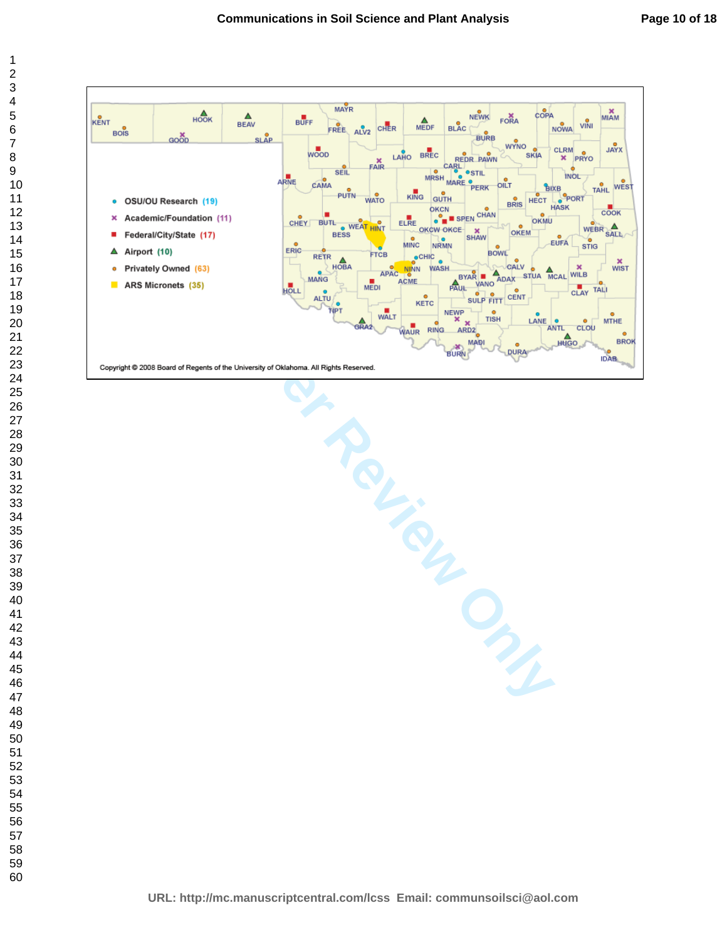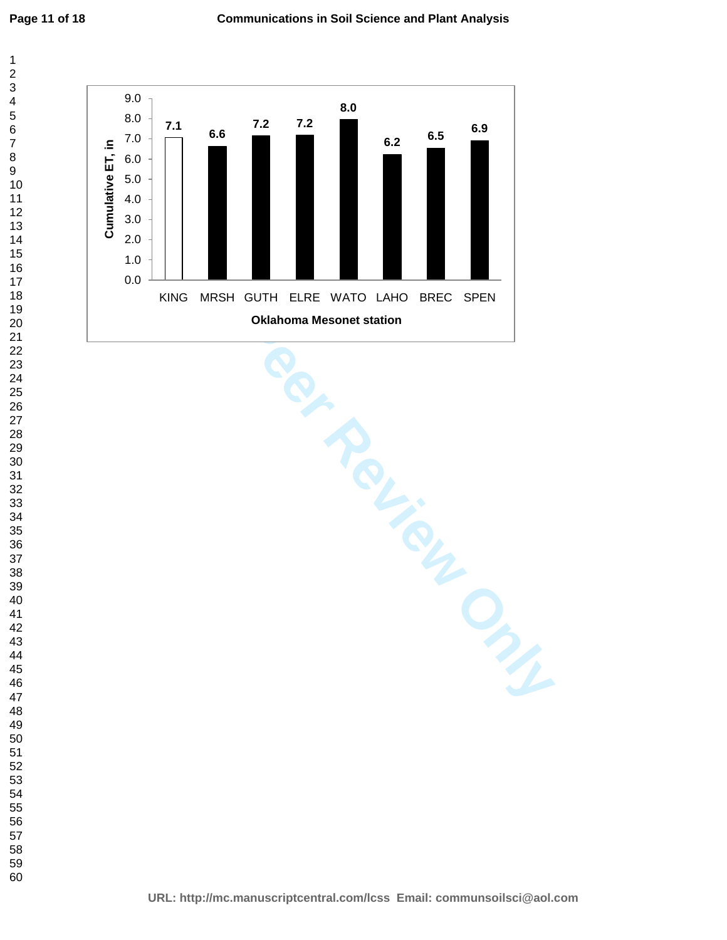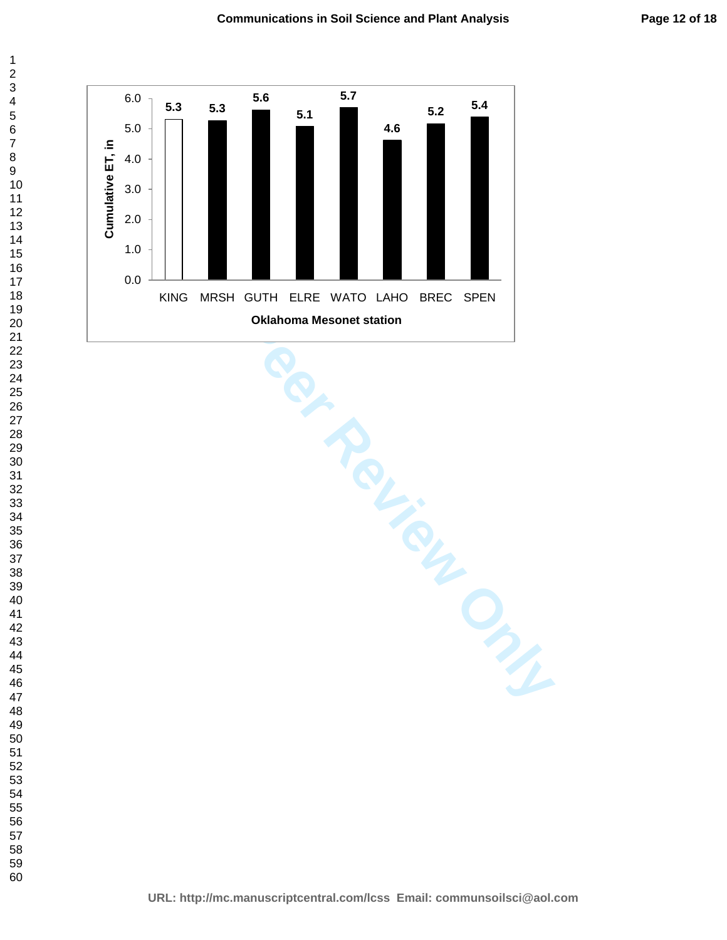

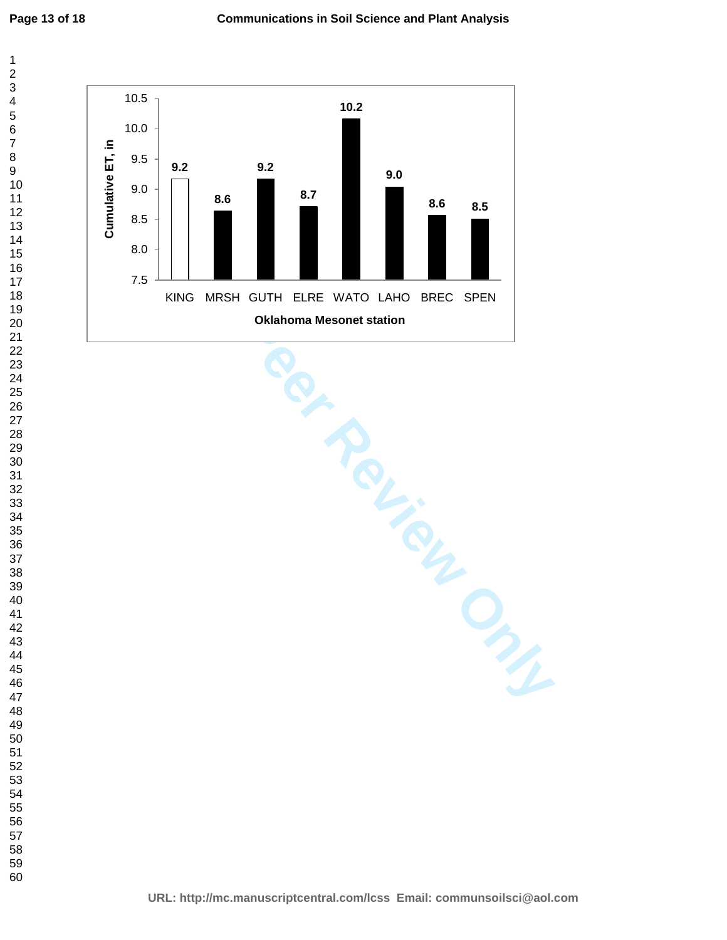**Page 13 of 18**



TING MRSH GUTH ELRE WATO LAHO BREC SPEN<br> **FOR PERIMPING MASONO**<br> **FOR PERIMPING MASONO STATION**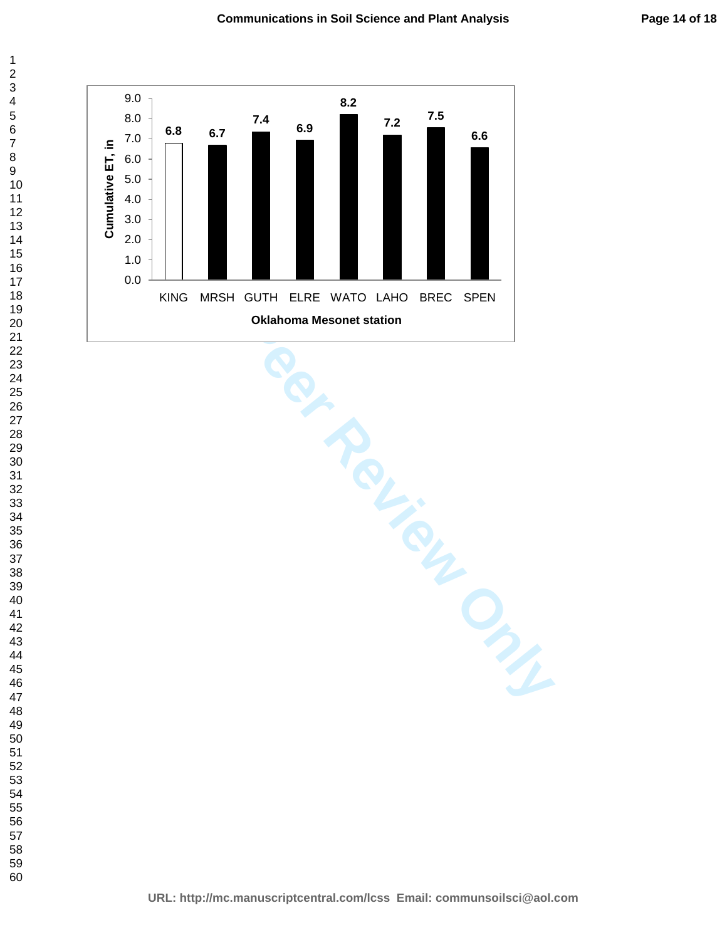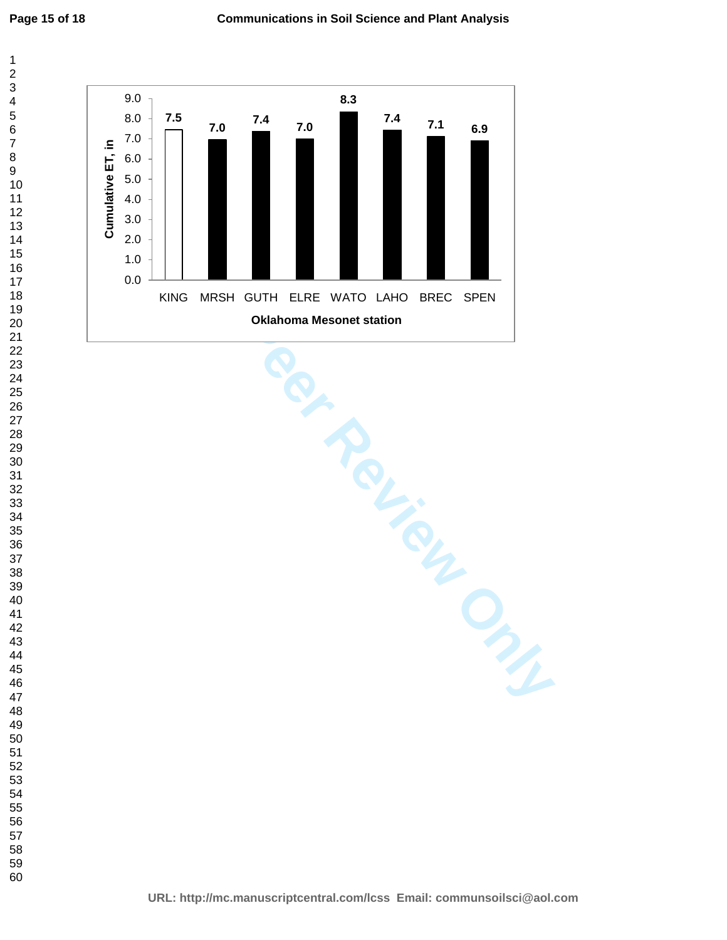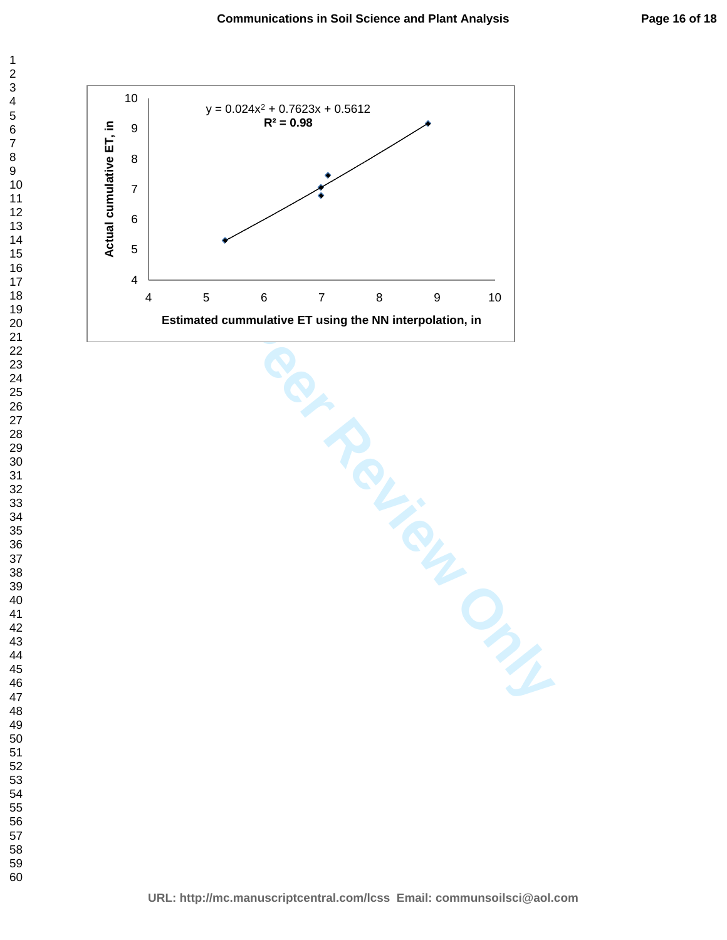

For Constituted cummulative ET using the NN interpolation, in<br>
and the NN interpolation, in<br>
and the NN interpolation, in<br>
and the NN interpolation, in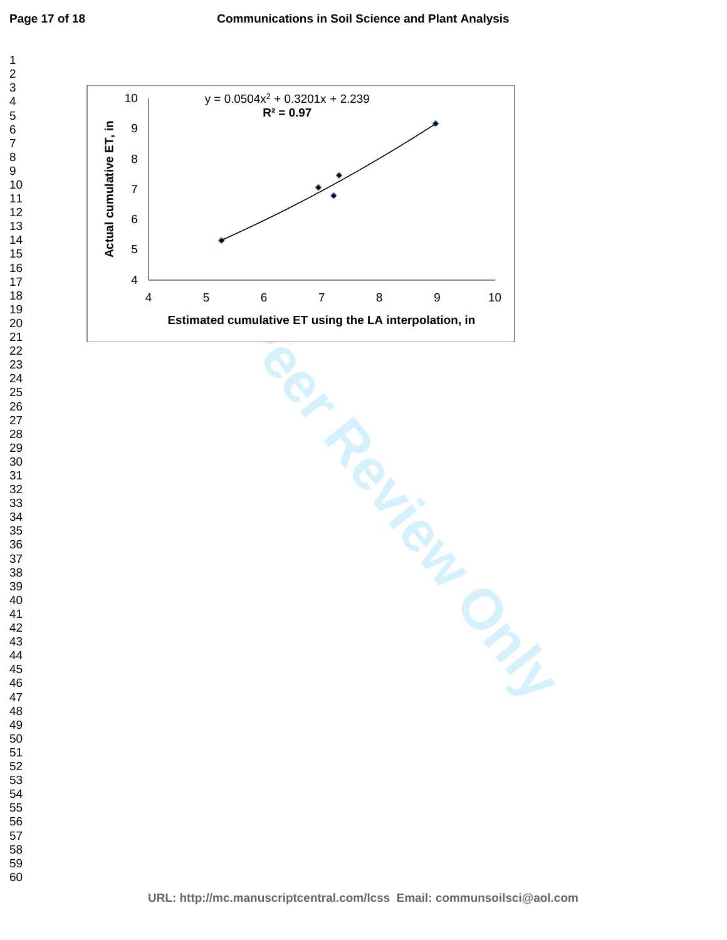